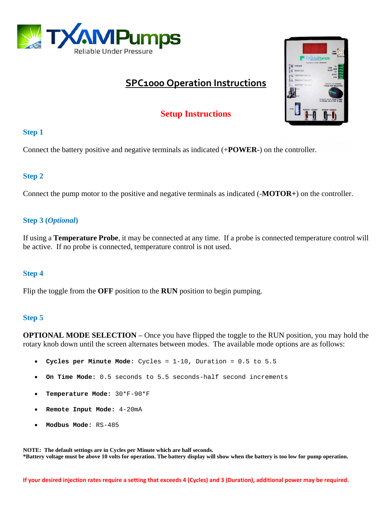

# **SPC1000 Operation Instructions**



# **Setup Instructions**

#### **Step 1**

Connect the battery positive and negative terminals as indicated (+**POWER-**) on the controller.

### **Step 2**

Connect the pump motor to the positive and negative terminals as indicated (-**MOTOR+**) on the controller.

## **Step 3 (***Optional***)**

If using a **Temperature Probe**, it may be connected at any time. If a probe is connected temperature control will be active. If no probe is connected, temperature control is not used.

#### **Step 4**

Flip the toggle from the **OFF** position to the **RUN** position to begin pumping.

## **Step 5**

**OPTIONAL MODE SELECTION** – Once you have flipped the toggle to the RUN position, you may hold the rotary knob down until the screen alternates between modes. The available mode options are as follows:

- **Cycles per Minute Mode:** Cycles = 1-10, Duration = 0.5 to 5.5
- **On Time Mode:** 0.5 seconds to 5.5 seconds-half second increments
- **Temperature Mode:** 30\*F-90\*F
- **Remote Input Mode:** 4-20mA
- **Modbus Mode:** RS-485

**NOTE: The default settings are in Cycles per Minute which are half seconds. \*Battery voltage must be above 10 volts for operation. The battery display will show when the battery is too low for pump operation.**